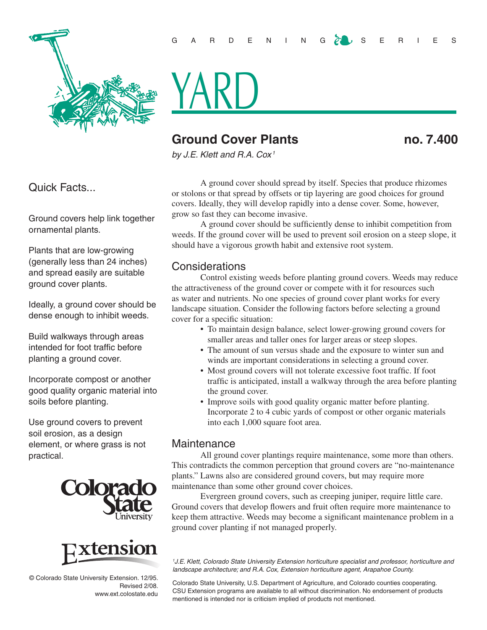

G A R D E N I N G <mark>A</mark> U S E R I E S

# **Ground Cover Plants no. 7.400**

*by J.E. Klett and R.A. Cox <sup>1</sup>*

<u>YARD</u>

A ground cover should spread by itself. Species that produce rhizomes or stolons or that spread by offsets or tip layering are good choices for ground covers. Ideally, they will develop rapidly into a dense cover. Some, however, grow so fast they can become invasive.

A ground cover should be sufficiently dense to inhibit competition from weeds. If the ground cover will be used to prevent soil erosion on a steep slope, it should have a vigorous growth habit and extensive root system.

# Considerations

Control existing weeds before planting ground covers. Weeds may reduce the attractiveness of the ground cover or compete with it for resources such as water and nutrients. No one species of ground cover plant works for every landscape situation. Consider the following factors before selecting a ground cover for a specific situation:

- To maintain design balance, select lower-growing ground covers for smaller areas and taller ones for larger areas or steep slopes.
- The amount of sun versus shade and the exposure to winter sun and winds are important considerations in selecting a ground cover.
- Most ground covers will not tolerate excessive foot traffic. If foot traffic is anticipated, install a walkway through the area before planting the ground cover.
- Improve soils with good quality organic matter before planting. Incorporate 2 to 4 cubic yards of compost or other organic materials into each 1,000 square foot area.

## Maintenance

All ground cover plantings require maintenance, some more than others. This contradicts the common perception that ground covers are "no-maintenance plants." Lawns also are considered ground covers, but may require more maintenance than some other ground cover choices.

Evergreen ground covers, such as creeping juniper, require little care. Ground covers that develop flowers and fruit often require more maintenance to keep them attractive. Weeds may become a significant maintenance problem in a ground cover planting if not managed properly.

*1 J.E. Klett, Colorado State University Extension horticulture specialist and professor, horticulture and landscape architecture; and R.A. Cox, Extension horticulture agent, Arapahoe County.* 

Colorado State University, U.S. Department of Agriculture, and Colorado counties cooperating. CSU Extension programs are available to all without discrimination. No endorsement of products mentioned is intended nor is criticism implied of products not mentioned.

Quick Facts...

Ground covers help link together ornamental plants.

Plants that are low-growing (generally less than 24 inches) and spread easily are suitable ground cover plants.

Ideally, a ground cover should be dense enough to inhibit weeds.

Build walkways through areas intended for foot traffic before planting a ground cover.

Incorporate compost or another good quality organic material into soils before planting.

Use ground covers to prevent soil erosion, as a design element, or where grass is not practical.





© Colorado State University Extension. 12/95. Revised 2/08. www.ext.colostate.edu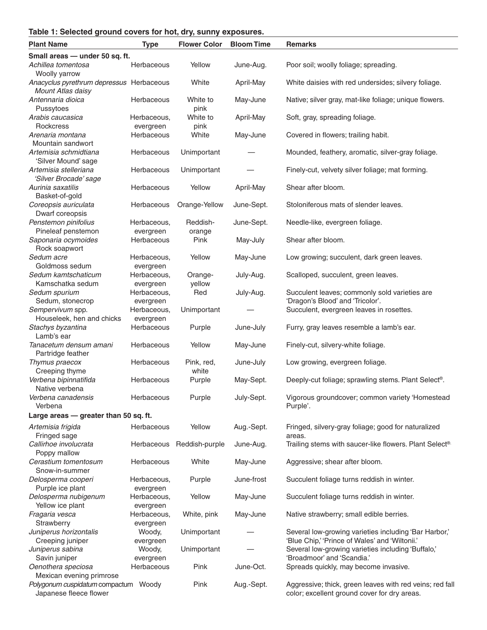| Table 1: Selected ground covers for hot, dry, sunny exposures. |  |
|----------------------------------------------------------------|--|
|----------------------------------------------------------------|--|

| <b>Plant Name</b>                                              | <b>Type</b>              | <b>Flower Color</b> | <b>Bloom Time</b> | <b>Remarks</b>                                                                                           |
|----------------------------------------------------------------|--------------------------|---------------------|-------------------|----------------------------------------------------------------------------------------------------------|
| Small areas - under 50 sq. ft.                                 |                          |                     |                   |                                                                                                          |
| Achillea tomentosa                                             | Herbaceous               | Yellow              | June-Aug.         | Poor soil; woolly foliage; spreading.                                                                    |
| Woolly yarrow                                                  |                          |                     |                   |                                                                                                          |
| Anacyclus pyrethrum depressus Herbaceous                       |                          | White               | April-May         | White daisies with red undersides; silvery foliage.                                                      |
| Mount Atlas daisy                                              |                          |                     |                   |                                                                                                          |
| Antennaria dioica<br>Pussytoes                                 | Herbaceous               | White to<br>pink    | May-June          | Native; silver gray, mat-like foliage; unique flowers.                                                   |
| Arabis caucasica                                               | Herbaceous,              | White to            | April-May         | Soft, gray, spreading foliage.                                                                           |
| <b>Rockcress</b>                                               | evergreen                | pink                |                   |                                                                                                          |
| Arenaria montana                                               | Herbaceous               | White               | May-June          | Covered in flowers; trailing habit.                                                                      |
| Mountain sandwort                                              |                          |                     |                   |                                                                                                          |
| Artemisia schmidtiana                                          | Herbaceous               | Unimportant         |                   | Mounded, feathery, aromatic, silver-gray foliage.                                                        |
| 'Silver Mound' sage                                            |                          |                     |                   |                                                                                                          |
| Artemisia stelleriana                                          | Herbaceous               | Unimportant         |                   | Finely-cut, velvety silver foliage; mat forming.                                                         |
| 'Silver Brocade' sage<br>Aurinia saxatilis                     | Herbaceous               | Yellow              | April-May         | Shear after bloom.                                                                                       |
| Basket-of-gold                                                 |                          |                     |                   |                                                                                                          |
| Coreopsis auriculata                                           | Herbaceous               | Orange-Yellow       | June-Sept.        | Stoloniferous mats of slender leaves.                                                                    |
| Dwarf coreopsis                                                |                          |                     |                   |                                                                                                          |
| Penstemon pinifolius                                           | Herbaceous,              | Reddish-            | June-Sept.        | Needle-like, evergreen foliage.                                                                          |
| Pineleaf penstemon                                             | evergreen                | orange              |                   |                                                                                                          |
| Saponaria ocymoides                                            | Herbaceous               | Pink                | May-July          | Shear after bloom.                                                                                       |
| Rock soapwort                                                  |                          |                     |                   |                                                                                                          |
| Sedum acre                                                     | Herbaceous,              | Yellow              | May-June          | Low growing; succulent, dark green leaves.                                                               |
| Goldmoss sedum<br>Sedum kamtschaticum                          | evergreen<br>Herbaceous, | Orange-             | July-Aug.         | Scalloped, succulent, green leaves.                                                                      |
| Kamschatka sedum                                               | evergreen                | yellow              |                   |                                                                                                          |
| Sedum spurium                                                  | Herbaceous,              | Red                 | July-Aug.         | Succulent leaves; commonly sold varieties are                                                            |
| Sedum, stonecrop                                               | evergreen                |                     |                   | 'Dragon's Blood' and 'Tricolor'.                                                                         |
| Sempervivum spp.                                               | Herbaceous,              | Unimportant         |                   | Succulent, evergreen leaves in rosettes.                                                                 |
| Houseleek, hen and chicks                                      | evergreen                |                     |                   |                                                                                                          |
| Stachys byzantina                                              | Herbaceous               | Purple              | June-July         | Furry, gray leaves resemble a lamb's ear.                                                                |
| Lamb's ear                                                     |                          |                     |                   |                                                                                                          |
| Tanacetum densum amani<br>Partridge feather                    | Herbaceous               | Yellow              | May-June          | Finely-cut, silvery-white foliage.                                                                       |
| Thymus praecox                                                 | Herbaceous               | Pink, red,          | June-July         | Low growing, evergreen foliage.                                                                          |
| Creeping thyme                                                 |                          | white               |                   |                                                                                                          |
| Verbena bipinnatifida                                          | Herbaceous               | Purple              | May-Sept.         | Deeply-cut foliage; sprawling stems. Plant Select®.                                                      |
| Native verbena                                                 |                          |                     |                   |                                                                                                          |
| Verbena canadensis                                             | Herbaceous               | Purple              | July-Sept.        | Vigorous groundcover; common variety 'Homestead                                                          |
| Verbena                                                        |                          |                     |                   | Purple'.                                                                                                 |
| Large areas – greater than 50 sq. ft.                          |                          |                     |                   |                                                                                                          |
| Artemisia frigida                                              | Herbaceous               | Yellow              | Aug.-Sept.        | Fringed, silvery-gray foliage; good for naturalized                                                      |
| Fringed sage                                                   |                          |                     |                   | areas.                                                                                                   |
| Callirhoe involucrata<br>Poppy mallow                          | Herbaceous               | Reddish-purple      | June-Aug.         | Trailing stems with saucer-like flowers. Plant Select <sup>®</sup>                                       |
| Cerastium tomentosum                                           | Herbaceous               | White               | May-June          | Aggressive; shear after bloom.                                                                           |
| Snow-in-summer                                                 |                          |                     |                   |                                                                                                          |
| Delosperma cooperi                                             | Herbaceous,              | Purple              | June-frost        | Succulent foliage turns reddish in winter.                                                               |
| Purple ice plant                                               | evergreen                |                     |                   |                                                                                                          |
| Delosperma nubigenum                                           | Herbaceous,              | Yellow              | May-June          | Succulent foliage turns reddish in winter.                                                               |
| Yellow ice plant                                               | evergreen                |                     |                   |                                                                                                          |
| Fragaria vesca<br>Strawberry                                   | Herbaceous,              | White, pink         | May-June          | Native strawberry; small edible berries.                                                                 |
| Juniperus horizontalis                                         | evergreen<br>Woody,      | Unimportant         |                   | Several low-growing varieties including 'Bar Harbor,'                                                    |
| Creeping juniper                                               | evergreen                |                     |                   | 'Blue Chip,' 'Prince of Wales' and 'Wiltonii.'                                                           |
| Juniperus sabina                                               | Woody,                   | Unimportant         |                   | Several low-growing varieties including 'Buffalo,'                                                       |
| Savin juniper                                                  | evergreen                |                     |                   | 'Broadmoor' and 'Scandia.'                                                                               |
| Oenothera speciosa                                             | Herbaceous               | Pink                | June-Oct.         | Spreads quickly, may become invasive.                                                                    |
| Mexican evening primrose                                       |                          |                     |                   |                                                                                                          |
| Polygonum cuspidatum compactum Woody<br>Japanese fleece flower |                          | Pink                | Aug.-Sept.        | Aggressive; thick, green leaves with red veins; red fall<br>color; excellent ground cover for dry areas. |
|                                                                |                          |                     |                   |                                                                                                          |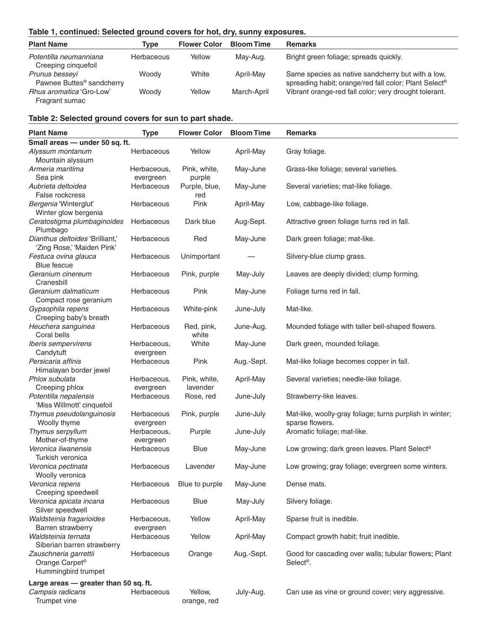#### **Table 1, continued: Selected ground covers for hot, dry, sunny exposures.**

| <b>Plant Name</b>                                       | Type       | <b>Flower Color</b> | <b>Bloom Time</b> | <b>Remarks</b>                                                                                                         |
|---------------------------------------------------------|------------|---------------------|-------------------|------------------------------------------------------------------------------------------------------------------------|
| Potentilla neumanniana<br>Creeping cinquefoil           | Herbaceous | Yellow              | May-Aug.          | Bright green foliage; spreads quickly.                                                                                 |
| Prunus bessevi<br>Pawnee Buttes <sup>®</sup> sandcherry | Woody      | White               | April-May         | Same species as native sandcherry but with a low,<br>spreading habit; orange/red fall color; Plant Select <sup>®</sup> |
| Rhus aromatica 'Gro-Low'<br>Fragrant sumac              | Woody      | Yellow              | March-April       | Vibrant orange-red fall color; very drought tolerant.                                                                  |

#### **Table 2: Selected ground covers for sun to part shade.**

| <b>Plant Name</b>                                                          | <b>Type</b>              | <b>Flower Color</b>       | <b>Bloom Time</b> | <b>Remarks</b>                                                                 |
|----------------------------------------------------------------------------|--------------------------|---------------------------|-------------------|--------------------------------------------------------------------------------|
| Small areas - under 50 sq. ft.                                             |                          |                           |                   |                                                                                |
| Alyssum montanum<br>Mountain alyssum                                       | Herbaceous               | Yellow                    | April-May         | Gray foliage.                                                                  |
| Armeria maritima<br>Sea pink                                               | Herbaceous,<br>evergreen | Pink, white,<br>purple    | May-June          | Grass-like foliage; several varieties.                                         |
| Aubrieta deltoidea                                                         | Herbaceous               | Purple, blue,             | May-June          | Several varieties; mat-like foliage.                                           |
| False rockcress<br>Bergenia 'Winterglut'                                   | Herbaceous               | red<br>Pink               | April-May         | Low, cabbage-like foliage.                                                     |
| Winter glow bergenia<br>Ceratostigma plumbaginoides                        | Herbaceous               | Dark blue                 | Aug-Sept.         | Attractive green foliage turns red in fall.                                    |
| Plumbago<br>Dianthus deltoides 'Brilliant,'                                | Herbaceous               | Red                       | May-June          | Dark green foliage; mat-like.                                                  |
| 'Zing Rose,' 'Maiden Pink'<br>Festuca ovina glauca<br>Blue fescue          | Herbaceous               | Unimportant               |                   | Silvery-blue clump grass.                                                      |
| Geranium cinereum<br>Cranesbill                                            | Herbaceous               | Pink, purple              | May-July          | Leaves are deeply divided; clump forming.                                      |
| Geranium dalmaticum                                                        | Herbaceous               | Pink                      | May-June          | Foliage turns red in fall.                                                     |
| Compact rose geranium<br>Gypsophila repens<br>Creeping baby's breath       | Herbaceous               | White-pink                | June-July         | Mat-like.                                                                      |
| Heuchera sanguinea<br>Coral bells                                          | Herbaceous               | Red, pink,<br>white       | June-Aug.         | Mounded foliage with taller bell-shaped flowers.                               |
| Iberis sempervirens<br>Candytuft                                           | Herbaceous,<br>evergreen | White                     | May-June          | Dark green, mounded foliage.                                                   |
| Persicaria affinis<br>Himalayan border jewel                               | Herbaceous               | Pink                      | Aug.-Sept.        | Mat-like foliage becomes copper in fall.                                       |
| Phlox subulata<br>Creeping phlox                                           | Herbaceous,<br>evergreen | Pink, white,<br>lavender  | April-May         | Several varieties; needle-like foliage.                                        |
| Potentilla nepalensis<br>'Miss Willmott' cinquefoil                        | Herbaceous               | Rose, red                 | June-July         | Strawberry-like leaves.                                                        |
| Thymus pseudolanguinosis<br>Woolly thyme                                   | Herbaceous<br>evergreen  | Pink, purple              | June-July         | Mat-like, woolly-gray foliage; turns purplish in winter;<br>sparse flowers.    |
| Thymus serpyllum<br>Mother-of-thyme                                        | Herbaceous,<br>evergreen | Purple                    | June-July         | Aromatic foliage; mat-like.                                                    |
| Veronica liwanensis<br>Turkish veronica                                    | Herbaceous               | <b>Blue</b>               | May-June          | Low growing; dark green leaves. Plant Select®                                  |
| Veronica pectinata<br>Woolly veronica                                      | Herbaceous               | Lavender                  | May-June          | Low growing; gray foliage; evergreen some winters.                             |
| Veronica repens<br>Creeping speedwell                                      |                          | Herbaceous Blue to purple | May-June          | Dense mats.                                                                    |
| Veronica spicata incana<br>Silver speedwell                                | Herbaceous               | Blue                      | May-July          | Silvery foliage.                                                               |
| Waldsteinia fragarioides<br>Barren strawberry                              | Herbaceous,<br>evergreen | Yellow                    | April-May         | Sparse fruit is inedible.                                                      |
| Waldsteinia ternata<br>Siberian barren strawberry                          | Herbaceous               | Yellow                    | April-May         | Compact growth habit; fruit inedible.                                          |
| Zauschneria garrettii<br>Orange Carpet <sup>®</sup><br>Hummingbird trumpet | Herbaceous               | Orange                    | Aug.-Sept.        | Good for cascading over walls; tubular flowers; Plant<br>Select <sup>®</sup> . |
| Large areas - greater than 50 sq. ft.<br>Campsis radicans                  | Herbaceous               | Yellow,                   | July-Aug.         | Can use as vine or ground cover; very aggressive.                              |
|                                                                            |                          |                           |                   |                                                                                |

Trumpet vine **and the contract of the contract of the contract of the contract of the contract of the contract of the contract of the contract of the contract of the contract of the contract of the contract of the contract**